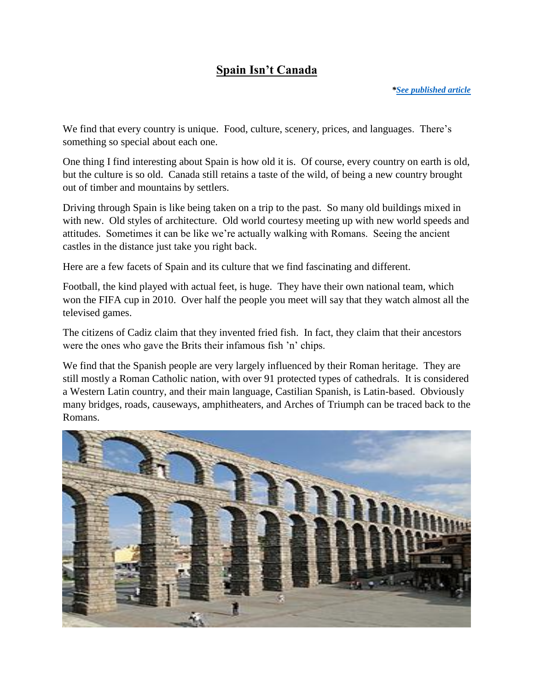## **Spain Isn't Canada**

We find that every country is unique. Food, culture, scenery, prices, and languages. There's something so special about each one.

One thing I find interesting about Spain is how old it is. Of course, every country on earth is old, but the culture is so old. Canada still retains a taste of the wild, of being a new country brought out of timber and mountains by settlers.

Driving through Spain is like being taken on a trip to the past. So many old buildings mixed in with new. Old styles of architecture. Old world courtesy meeting up with new world speeds and attitudes. Sometimes it can be like we're actually walking with Romans. Seeing the ancient castles in the distance just take you right back.

Here are a few facets of Spain and its culture that we find fascinating and different.

Football, the kind played with actual feet, is huge. They have their own national team, which won the FIFA cup in 2010. Over half the people you meet will say that they watch almost all the televised games.

The citizens of Cadiz claim that they invented fried fish. In fact, they claim that their ancestors were the ones who gave the Brits their infamous fish 'n' chips.

We find that the Spanish people are very largely influenced by their Roman heritage. They are still mostly a Roman Catholic nation, with over 91 protected types of cathedrals. It is considered a Western Latin country, and their main language, Castilian Spanish, is Latin-based. Obviously many bridges, roads, causeways, amphitheaters, and Arches of Triumph can be traced back to the Romans.